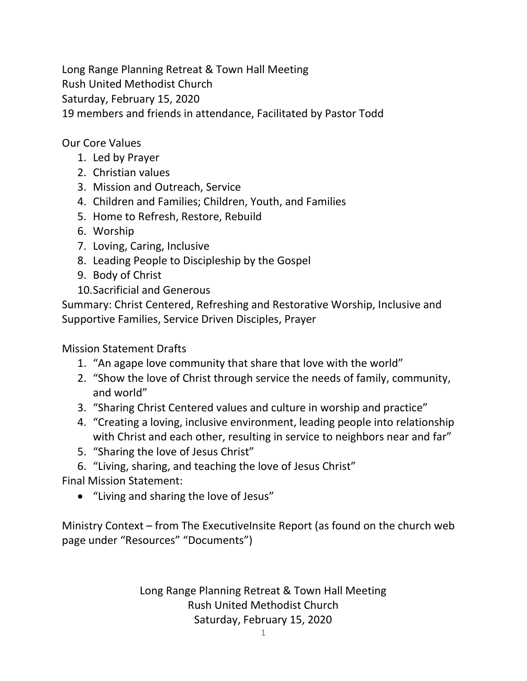Long Range Planning Retreat & Town Hall Meeting Rush United Methodist Church Saturday, February 15, 2020 19 members and friends in attendance, Facilitated by Pastor Todd

Our Core Values

- 1. Led by Prayer
- 2. Christian values
- 3. Mission and Outreach, Service
- 4. Children and Families; Children, Youth, and Families
- 5. Home to Refresh, Restore, Rebuild
- 6. Worship
- 7. Loving, Caring, Inclusive
- 8. Leading People to Discipleship by the Gospel
- 9. Body of Christ
- 10.Sacrificial and Generous

Summary: Christ Centered, Refreshing and Restorative Worship, Inclusive and Supportive Families, Service Driven Disciples, Prayer

Mission Statement Drafts

- 1. "An agape love community that share that love with the world"
- 2. "Show the love of Christ through service the needs of family, community, and world"
- 3. "Sharing Christ Centered values and culture in worship and practice"
- 4. "Creating a loving, inclusive environment, leading people into relationship with Christ and each other, resulting in service to neighbors near and far"
- 5. "Sharing the love of Jesus Christ"
- 6. "Living, sharing, and teaching the love of Jesus Christ"

Final Mission Statement:

"Living and sharing the love of Jesus"

Ministry Context – from The ExecutiveInsite Report (as found on the church web page under "Resources" "Documents")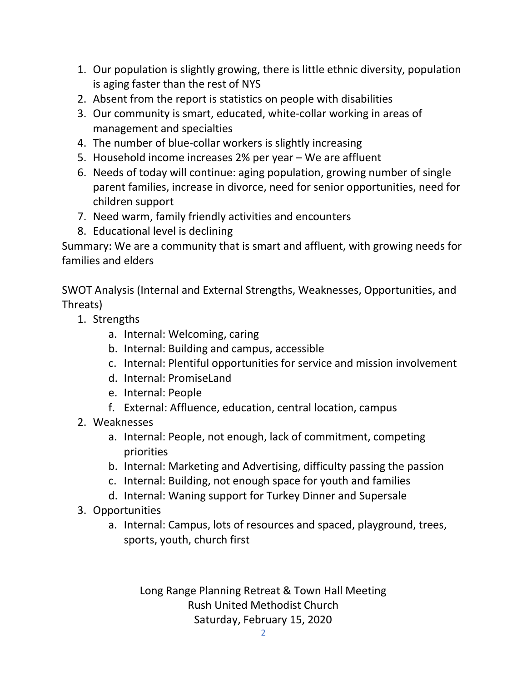- 1. Our population is slightly growing, there is little ethnic diversity, population is aging faster than the rest of NYS
- 2. Absent from the report is statistics on people with disabilities
- 3. Our community is smart, educated, white-collar working in areas of management and specialties
- 4. The number of blue-collar workers is slightly increasing
- 5. Household income increases 2% per year We are affluent
- 6. Needs of today will continue: aging population, growing number of single parent families, increase in divorce, need for senior opportunities, need for children support
- 7. Need warm, family friendly activities and encounters
- 8. Educational level is declining

Summary: We are a community that is smart and affluent, with growing needs for families and elders

SWOT Analysis (Internal and External Strengths, Weaknesses, Opportunities, and Threats)

- 1. Strengths
	- a. Internal: Welcoming, caring
	- b. Internal: Building and campus, accessible
	- c. Internal: Plentiful opportunities for service and mission involvement
	- d. Internal: PromiseLand
	- e. Internal: People
	- f. External: Affluence, education, central location, campus
- 2. Weaknesses
	- a. Internal: People, not enough, lack of commitment, competing priorities
	- b. Internal: Marketing and Advertising, difficulty passing the passion
	- c. Internal: Building, not enough space for youth and families
	- d. Internal: Waning support for Turkey Dinner and Supersale
- 3. Opportunities
	- a. Internal: Campus, lots of resources and spaced, playground, trees, sports, youth, church first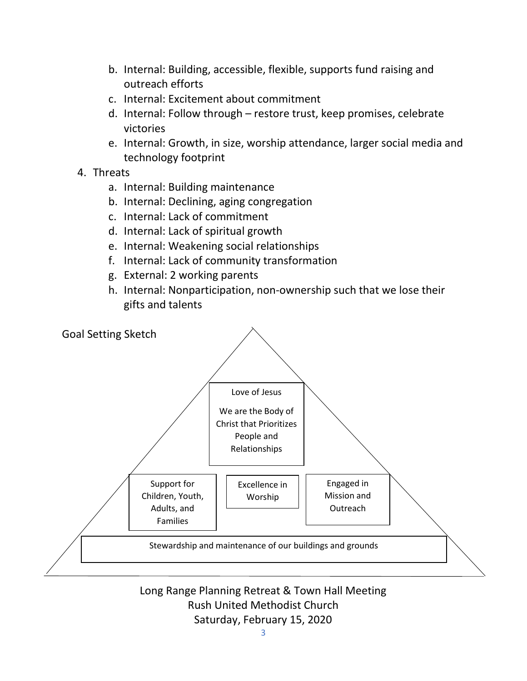- b. Internal: Building, accessible, flexible, supports fund raising and outreach efforts
- c. Internal: Excitement about commitment
- d. Internal: Follow through restore trust, keep promises, celebrate victories
- e. Internal: Growth, in size, worship attendance, larger social media and technology footprint
- 4. Threats
	- a. Internal: Building maintenance
	- b. Internal: Declining, aging congregation
	- c. Internal: Lack of commitment
	- d. Internal: Lack of spiritual growth
	- e. Internal: Weakening social relationships
	- f. Internal: Lack of community transformation
	- g. External: 2 working parents
	- h. Internal: Nonparticipation, non-ownership such that we lose their gifts and talents